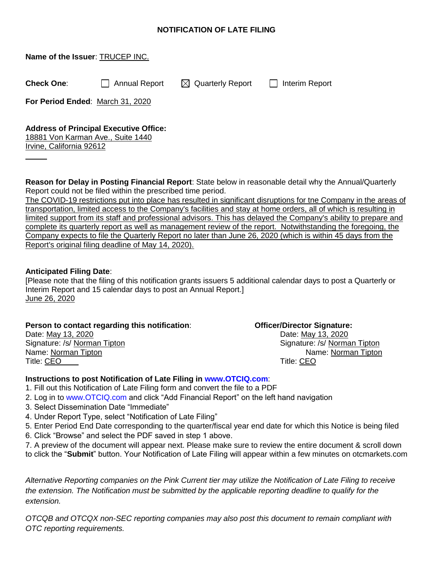## **NOTIFICATION OF LATE FILING**

| Name of the Issuer: TRUCEP INC.  |                                        |                                                    |  |
|----------------------------------|----------------------------------------|----------------------------------------------------|--|
| <b>Check One:</b>                | Annual Report                          | $\boxtimes$ Quarterly Report $\Box$ Interim Report |  |
| For Period Ended: March 31, 2020 |                                        |                                                    |  |
|                                  | Address of Dringinal Executive Office: |                                                    |  |

## **Address of Principal Executive Office:**

18881 Von Karman Ave., Suite 1440 Irvine, California 92612

**Reason for Delay in Posting Financial Report**: State below in reasonable detail why the Annual/Quarterly Report could not be filed within the prescribed time period.

The COVID-19 restrictions put into place has resulted in significant disruptions for tne Company in the areas of transportation, limited access to the Company's facilities and stay at home orders, all of which is resulting in limited support from its staff and professional advisors. This has delayed the Company's ability to prepare and complete its quarterly report as well as management review of the report. Notwithstanding the foregoing, the Company expects to file the Quarterly Report no later than June 26, 2020 (which is within 45 days from the Report's original filing deadline of May 14, 2020).

## **Anticipated Filing Date**:

[Please note that the filing of this notification grants issuers 5 additional calendar days to post a Quarterly or Interim Report and 15 calendar days to post an Annual Report.] June 26, 2020

| Person to contact regarding this notification: | <b>Officer/Director Signature:</b> |  |
|------------------------------------------------|------------------------------------|--|
| Date: May 13, 2020                             | Date: May 13, 2020                 |  |
| Signature: /s/ Norman Tipton                   | Signature: /s/ Norman Tipton       |  |
| Name: Norman Tipton                            | Name: Norman Tipton                |  |
| Title: CEO                                     | Title: CEO                         |  |

## **Instructions to post Notification of Late Filing in www.OTCIQ.com**:

- 1. Fill out this Notification of Late Filing form and convert the file to a PDF
- 2. Log in to www.OTCIQ.com and click "Add Financial Report" on the left hand navigation
- 3. Select Dissemination Date "Immediate"
- 4. Under Report Type, select "Notification of Late Filing"
- 5. Enter Period End Date corresponding to the quarter/fiscal year end date for which this Notice is being filed
- 6. Click "Browse" and select the PDF saved in step 1 above.
- 7. A preview of the document will appear next. Please make sure to review the entire document & scroll down to click the "**Submit**" button. Your Notification of Late Filing will appear within a few minutes on otcmarkets.com

*Alternative Reporting companies on the Pink Current tier may utilize the Notification of Late Filing to receive the extension. The Notification must be submitted by the applicable reporting deadline to qualify for the extension.*

*OTCQB and OTCQX non-SEC reporting companies may also post this document to remain compliant with OTC reporting requirements.*